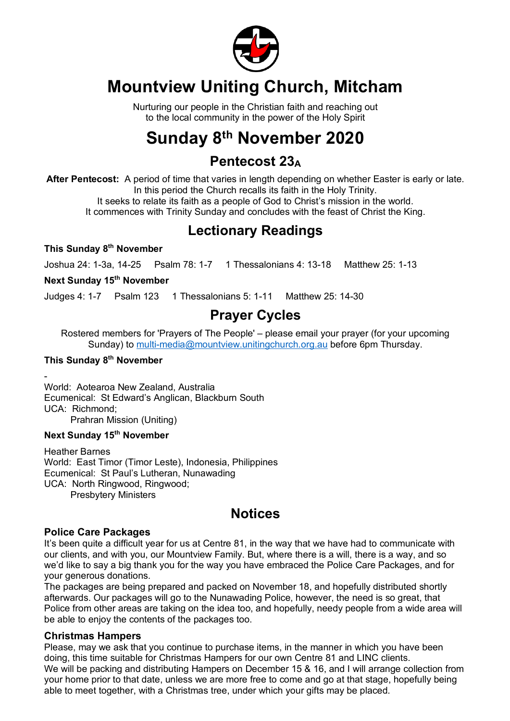

## **Mountview Uniting Church, Mitcham**

Nurturing our people in the Christian faith and reaching out to the local community in the power of the Holy Spirit

## **Sunday 8th November 2020**

### **Pentecost 23A**

**After Pentecost:** A period of time that varies in length depending on whether Easter is early or late. In this period the Church recalls its faith in the Holy Trinity.

It seeks to relate its faith as a people of God to Christ's mission in the world.

It commences with Trinity Sunday and concludes with the feast of Christ the King.

## **Lectionary Readings**

**This Sunday 8th November**

Joshua 24: 1-3a, 14-25 Psalm 78: 1-7 1 Thessalonians 4: 13-18 Matthew 25: 1-13

**Next Sunday 15th November**

Judges 4: 1-7 Psalm 123 1 Thessalonians 5: 1-11 Matthew 25: 14-30

## **Prayer Cycles**

Rostered members for 'Prayers of The People' – please email your prayer (for your upcoming Sunday) to multi-media@mountview.unitingchurch.org.au before 6pm Thursday.

#### **This Sunday 8th November**

- World: Aotearoa New Zealand, Australia Ecumenical: St Edward's Anglican, Blackburn South UCA: Richmond;

Prahran Mission (Uniting)

#### **Next Sunday 15th November**

Heather Barnes World: East Timor (Timor Leste), Indonesia, Philippines Ecumenical: St Paul's Lutheran, Nunawading UCA: North Ringwood, Ringwood; Presbytery Ministers

### **Notices**

#### **Police Care Packages**

It's been quite a difficult year for us at Centre 81, in the way that we have had to communicate with our clients, and with you, our Mountview Family. But, where there is a will, there is a way, and so we'd like to say a big thank you for the way you have embraced the Police Care Packages, and for your generous donations.

The packages are being prepared and packed on November 18, and hopefully distributed shortly afterwards. Our packages will go to the Nunawading Police, however, the need is so great, that Police from other areas are taking on the idea too, and hopefully, needy people from a wide area will be able to enjoy the contents of the packages too.

#### **Christmas Hampers**

Please, may we ask that you continue to purchase items, in the manner in which you have been doing, this time suitable for Christmas Hampers for our own Centre 81 and LINC clients. We will be packing and distributing Hampers on December 15 & 16, and I will arrange collection from your home prior to that date, unless we are more free to come and go at that stage, hopefully being able to meet together, with a Christmas tree, under which your gifts may be placed.